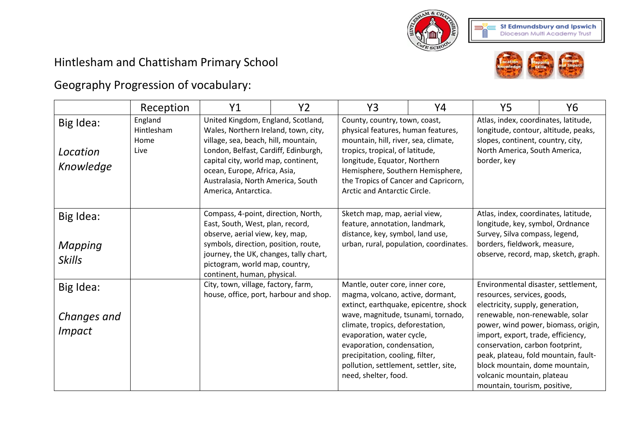

## Hintlesham and Chattisham Primary School



## Geography Progression of vocabulary:

|                                           | Reception                             | Y <sub>1</sub>                                                                                                                                                                                                                                                                                 | Y <sub>2</sub> | Y3                                                                                                                                                                                                                                                                                                                                                    | Υ4 | <b>Y5</b>                                                                                                                                                                                                                                                                                                                                                  | Y6                                  |
|-------------------------------------------|---------------------------------------|------------------------------------------------------------------------------------------------------------------------------------------------------------------------------------------------------------------------------------------------------------------------------------------------|----------------|-------------------------------------------------------------------------------------------------------------------------------------------------------------------------------------------------------------------------------------------------------------------------------------------------------------------------------------------------------|----|------------------------------------------------------------------------------------------------------------------------------------------------------------------------------------------------------------------------------------------------------------------------------------------------------------------------------------------------------------|-------------------------------------|
| Big Idea:<br>Location<br>Knowledge        | England<br>Hintlesham<br>Home<br>Live | United Kingdom, England, Scotland,<br>Wales, Northern Ireland, town, city,<br>village, sea, beach, hill, mountain,<br>London, Belfast, Cardiff, Edinburgh,<br>capital city, world map, continent,<br>ocean, Europe, Africa, Asia,<br>Australasia, North America, South<br>America, Antarctica. |                | County, country, town, coast,<br>physical features, human features,<br>mountain, hill, river, sea, climate,<br>tropics, tropical, of latitude,<br>longitude, Equator, Northern<br>Hemisphere, Southern Hemisphere,<br>the Tropics of Cancer and Capricorn,<br>Arctic and Antarctic Circle.                                                            |    | Atlas, index, coordinates, latitude,<br>longitude, contour, altitude, peaks,<br>slopes, continent, country, city,<br>North America, South America,<br>border, key                                                                                                                                                                                          |                                     |
| Big Idea:<br>Mapping<br><b>Skills</b>     |                                       | Compass, 4-point, direction, North,<br>East, South, West, plan, record,<br>observe, aerial view, key, map,<br>symbols, direction, position, route,<br>journey, the UK, changes, tally chart,<br>pictogram, world map, country,<br>continent, human, physical.                                  |                | Sketch map, map, aerial view,<br>feature, annotation, landmark,<br>distance, key, symbol, land use,<br>urban, rural, population, coordinates.                                                                                                                                                                                                         |    | Atlas, index, coordinates, latitude,<br>longitude, key, symbol, Ordnance<br>Survey, Silva compass, legend,<br>borders, fieldwork, measure,<br>observe, record, map, sketch, graph.                                                                                                                                                                         |                                     |
| Big Idea:<br>Changes and<br><i>Impact</i> |                                       | City, town, village, factory, farm,<br>house, office, port, harbour and shop.                                                                                                                                                                                                                  |                | Mantle, outer core, inner core,<br>magma, volcano, active, dormant,<br>extinct, earthquake, epicentre, shock<br>wave, magnitude, tsunami, tornado,<br>climate, tropics, deforestation,<br>evaporation, water cycle,<br>evaporation, condensation,<br>precipitation, cooling, filter,<br>pollution, settlement, settler, site,<br>need, shelter, food. |    | Environmental disaster, settlement,<br>resources, services, goods,<br>electricity, supply, generation,<br>renewable, non-renewable, solar<br>import, export, trade, efficiency,<br>conservation, carbon footprint,<br>peak, plateau, fold mountain, fault-<br>block mountain, dome mountain,<br>volcanic mountain, plateau<br>mountain, tourism, positive, | power, wind power, biomass, origin, |